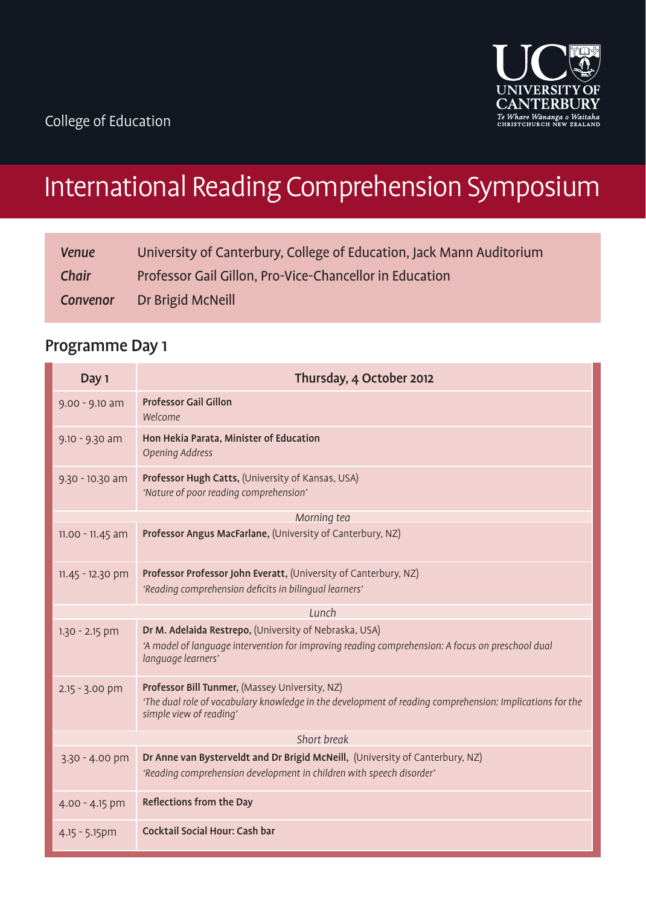

# International Reading Comprehension Symposium

| <b>Venue</b> | University of Canterbury, College of Education, Jack Mann Auditorium |
|--------------|----------------------------------------------------------------------|
| <b>Chair</b> | Professor Gail Gillon, Pro-Vice-Chancellor in Education              |
| Convenor     | Dr Brigid McNeill                                                    |

# Programme Day 1

| Day 1              | Thursday, 4 October 2012                                                                                                                                                              |  |
|--------------------|---------------------------------------------------------------------------------------------------------------------------------------------------------------------------------------|--|
| $9.00 - 9.10$ am   | <b>Professor Gail Gillon</b><br>Welcome                                                                                                                                               |  |
| $9.10 - 9.30$ am   | Hon Hekia Parata, Minister of Education<br>Opening Address                                                                                                                            |  |
| 9.30 - 10.30 am    | Professor Hugh Catts, (University of Kansas, USA)<br>'Nature of poor reading comprehension'                                                                                           |  |
| Morning tea        |                                                                                                                                                                                       |  |
| $11.00 - 11.45$ am | Professor Angus MacFarlane, (University of Canterbury, NZ)                                                                                                                            |  |
| 11.45 - 12.30 pm   | Professor Professor John Everatt, (University of Canterbury, NZ)<br>'Reading comprehension deficits in bilingual learners'                                                            |  |
| Lunch              |                                                                                                                                                                                       |  |
| $1.30 - 2.15$ pm   | Dr M. Adelaida Restrepo, (University of Nebraska, USA)<br>'A model of language intervention for improving reading comprehension: A focus on preschool dual<br>language learners'      |  |
| $2.15 - 3.00$ pm   | Professor Bill Tunmer, (Massey University, NZ)<br>'The dual role of vocabulary knowledge in the development of reading comprehension: Implications for the<br>simple view of reading' |  |
| Short break        |                                                                                                                                                                                       |  |
| 3.30 - 4.00 pm     | Dr Anne van Bysterveldt and Dr Brigid McNeill, (University of Canterbury, NZ)<br>'Reading comprehension development in children with speech disorder'                                 |  |
| $4.00 - 4.15$ pm   | Reflections from the Day                                                                                                                                                              |  |
| $4.15 - 5.15$ pm   | <b>Cocktail Social Hour: Cash bar</b>                                                                                                                                                 |  |